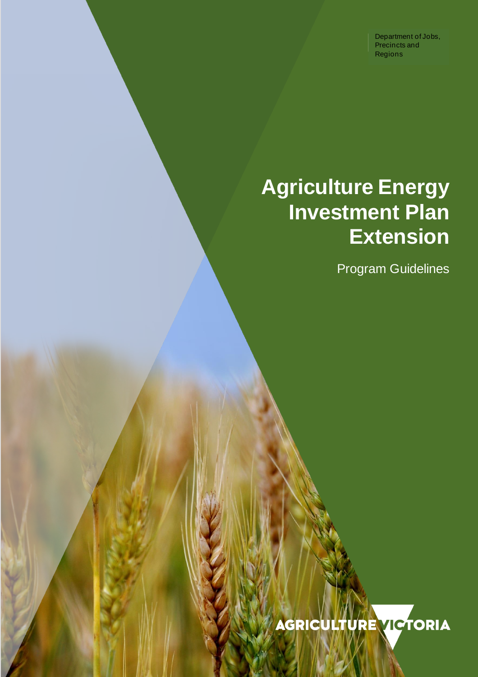Department of Jobs, Precincts and Regions

# **Agriculture Energy Investment Plan Extension**

Program Guidelines

**AGRICULTURE VICTORIA**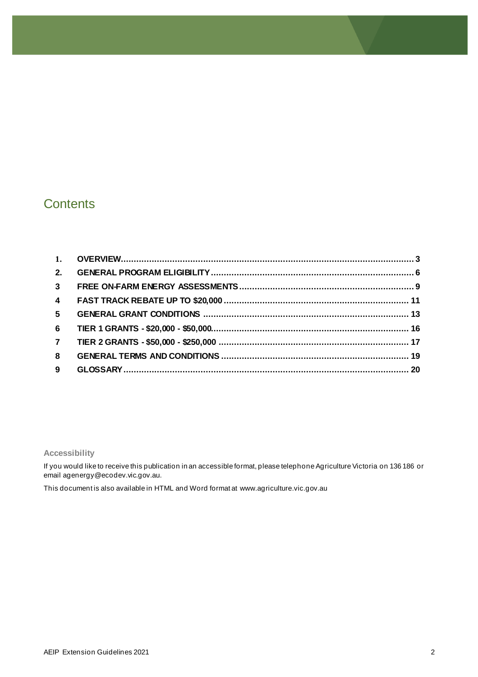# **Contents**

| 2.             |  |
|----------------|--|
| 3 <sup>1</sup> |  |
| $\overline{4}$ |  |
| 5 <sub>5</sub> |  |
| 6              |  |
| $\overline{7}$ |  |
| 8              |  |
| 9              |  |

#### **Accessibility**

If you would like to receive this publication in an accessible format, please telephone Agriculture Victoria on 136 186 or email agenergy@ecodev.vic.gov.au.

This document is also available in HTML and Word format at www.agriculture.vic.gov.au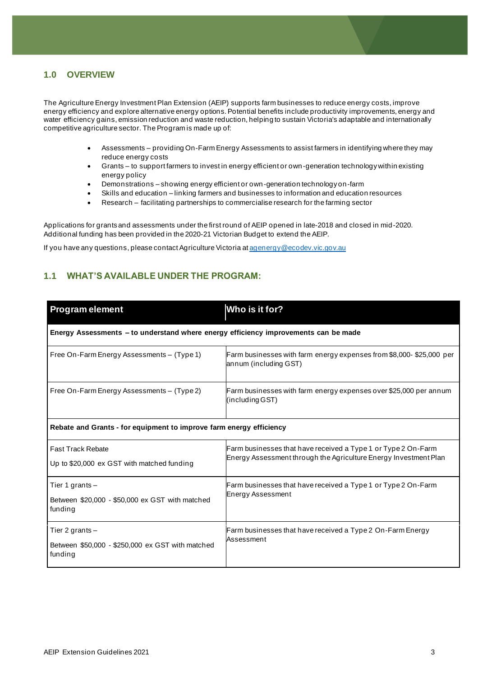#### <span id="page-2-0"></span>**1.0 OVERVIEW**

The Agriculture Energy Investment Plan Extension (AEIP) supports farm businesses to reduce energy costs, improve energy efficiency and explore alternative energy options. Potential benefits include productivity improvements, energy and water efficiency gains, emission reduction and waste reduction, helping to sustain Victoria's adaptable and internationally competitive agriculture sector. The Program is made up of:

- Assessments providing On-Farm Energy Assessments to assist farmers in identifying where they may reduce energy costs
- Grants to support farmers to invest in energy efficient or own-generation technology within existing energy policy
- Demonstrations showing energy efficient or own-generation technology on-farm
- Skills and education linking farmers and businesses to information and education resources
- Research facilitating partnerships to commercialise research for the farming sector

Applications for grants and assessments under the first round of AEIP opened in late-2018 and closed in mid-2020. Additional funding has been provided in the 2020-21 Victorian Budget to extend the AEIP.

If you have any questions, please contact Agriculture Victoria a[t agenergy@ecodev.vic.gov.au](mailto:agenergy@ecodev.vic.gov.au)

## **1.1 WHAT'S AVAILABLE UNDER THE PROGRAM:**

| <b>Program element</b>                                                              | Who is it for?                                                                                                                    |  |
|-------------------------------------------------------------------------------------|-----------------------------------------------------------------------------------------------------------------------------------|--|
| Energy Assessments - to understand where energy efficiency improvements can be made |                                                                                                                                   |  |
| Free On-Farm Energy Assessments - (Type 1)                                          | Farm businesses with farm energy expenses from \$8,000-\$25,000 per<br>annum (including GST)                                      |  |
| Free On-Farm Energy Assessments - (Type 2)                                          | Farm businesses with farm energy expenses over \$25,000 per annum<br>(including GST)                                              |  |
| Rebate and Grants - for equipment to improve farm energy efficiency                 |                                                                                                                                   |  |
| <b>Fast Track Rebate</b><br>Up to \$20,000 ex GST with matched funding              | Farm businesses that have received a Type 1 or Type 2 On-Farm<br>Energy Assessment through the Agriculture Energy Investment Plan |  |
| Tier 1 grants $-$<br>Between \$20,000 - \$50,000 ex GST with matched<br>funding     | Farm businesses that have received a Type 1 or Type 2 On-Farm<br><b>Energy Assessment</b>                                         |  |
| Tier 2 grants $-$<br>Between \$50,000 - \$250,000 ex GST with matched<br>funding    | Farm businesses that have received a Type 2 On-Farm Energy<br>Assessment                                                          |  |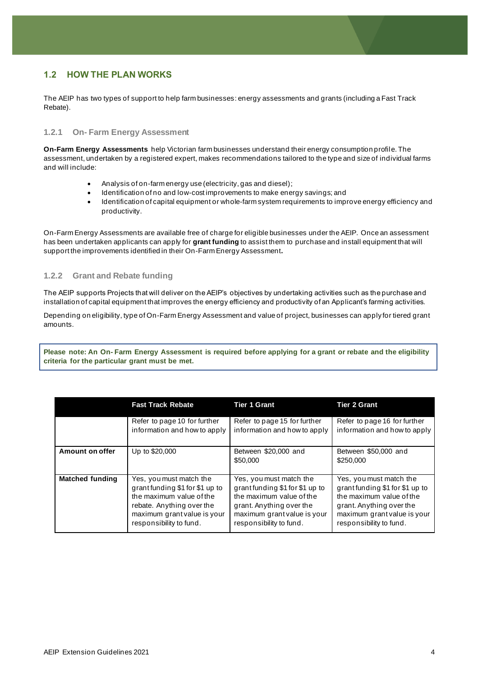## **1.2 HOW THE PLAN WORKS**

The AEIP has two types of support to help farm businesses: energy assessments and grants (including a Fast Track Rebate).

#### **1.2.1 On- Farm Energy Assessment**

**On-Farm Energy Assessments** help Victorian farm businesses understand their energy consumption profile. The assessment, undertaken by a registered expert, makes recommendations tailored to the type and size of individual farms and will include:

- Analysis of on-farm energy use (electricity, gas and diesel);
- Identification of no and low-cost improvements to make energy savings; and
- Identification of capital equipment or whole-farm system requirements to improve energy efficiency and productivity.

On-Farm Energy Assessments are available free of charge for eligible businesses under the AEIP. Once an assessment has been undertaken applicants can apply for **grant funding** to assist them to purchase and install equipment that will support the improvements identified in their On-Farm Energy Assessment**.**

#### **1.2.2 Grant and Rebate funding**

The AEIP supports Projects that will deliver on the AEIP's objectives by undertaking activities such as the purchase and installation of capital equipment that improves the energy efficiency and productivity of an Applicant's farming activities.

Depending on eligibility, type of On-Farm Energy Assessment and value of project, businesses can apply for tiered grant amounts.

**Please note: An On- Farm Energy Assessment is required before applying for a grant or rebate and the eligibility criteria for the particular grant must be met.**

|                        | <b>Fast Track Rebate</b>       | <b>Tier 1 Grant</b>              | <b>Tier 2 Grant</b>               |
|------------------------|--------------------------------|----------------------------------|-----------------------------------|
|                        | Refer to page 10 for further   | Refer to page 15 for further     | Refer to page 16 for further      |
|                        | information and how to apply   | information and how to apply     | information and how to apply      |
| <b>Amount on offer</b> | Up to \$20,000                 | Between \$20,000 and<br>\$50,000 | Between \$50,000 and<br>\$250,000 |
| <b>Matched funding</b> | Yes, you must match the        | Yes, you must match the          | Yes, you must match the           |
|                        | grantfunding \$1 for \$1 up to | grant funding \$1 for \$1 up to  | grantfunding \$1 for \$1 up to    |
|                        | the maximum value of the       | the maximum value of the         | the maximum value of the          |
|                        | rebate. Anything over the      | grant. Anything over the         | grant. Anything over the          |
|                        | maximum grant value is your    | maximum grant value is your      | maximum grant value is your       |
|                        | responsibility to fund.        | responsibility to fund.          | responsibility to fund.           |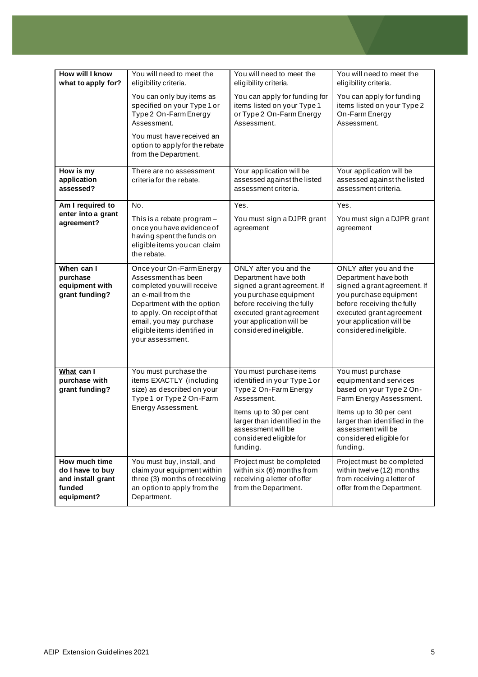| <b>How will I know</b><br>what to apply for?                                   | You will need to meet the<br>eligibility criteria.                                                                                                                                                                                              | You will need to meet the<br>eligibility criteria.                                                                                                                                                                       | You will need to meet the<br>eligibility criteria.                                                                                                                                                                          |
|--------------------------------------------------------------------------------|-------------------------------------------------------------------------------------------------------------------------------------------------------------------------------------------------------------------------------------------------|--------------------------------------------------------------------------------------------------------------------------------------------------------------------------------------------------------------------------|-----------------------------------------------------------------------------------------------------------------------------------------------------------------------------------------------------------------------------|
|                                                                                | You can only buy items as<br>specified on your Type 1 or<br>Type 2 On-Farm Energy<br>Assessment.<br>You must have received an                                                                                                                   | You can apply for funding for<br>items listed on your Type 1<br>or Type 2 On-Farm Energy<br>Assessment.                                                                                                                  | You can apply for funding<br>items listed on your Type 2<br>On-Farm Energy<br>Assessment.                                                                                                                                   |
|                                                                                | option to apply for the rebate<br>from the Department.                                                                                                                                                                                          |                                                                                                                                                                                                                          |                                                                                                                                                                                                                             |
| How is my<br>application<br>assessed?                                          | There are no assessment<br>criteria for the rebate.                                                                                                                                                                                             | Your application will be<br>assessed against the listed<br>assessment criteria.                                                                                                                                          | Your application will be<br>assessed against the listed<br>assessment criteria.                                                                                                                                             |
| Am I required to                                                               | No.                                                                                                                                                                                                                                             | Yes.                                                                                                                                                                                                                     | Yes.                                                                                                                                                                                                                        |
| enter into a grant<br>agreement?                                               | This is a rebate program-<br>once you have evidence of<br>having spent the funds on<br>eligible items you can claim<br>the rebate.                                                                                                              | You must sign a DJPR grant<br>agreement                                                                                                                                                                                  | You must sign a DJPR grant<br>agreement                                                                                                                                                                                     |
| When can I<br>purchase<br>equipment with<br>grant funding?                     | Once your On-Farm Energy<br>Assessmenthas been<br>completed you will receive<br>an e-mail from the<br>Department with the option<br>to apply. On receipt of that<br>email, you may purchase<br>eligible items identified in<br>your assessment. | ONLY after you and the<br>Department have both<br>signed a grant agreement. If<br>you purchase equipment<br>before receiving the fully<br>executed grant agreement<br>your application will be<br>considered ineligible. | ONLY after you and the<br>Department have both<br>signed a grant agreement. If<br>you purchase equipment<br>before receiving the fully<br>executed grant agreement<br>your application will be<br>considered ineligible.    |
| What can I<br>purchase with<br>grant funding?                                  | You must purchase the<br>items EXACTLY (including<br>size) as described on your<br>Type 1 or Type 2 On-Farm<br>Energy Assessment.                                                                                                               | You must purchase items<br>identified in your Type 1 or<br>Type 2 On-Farm Energy<br>Assessment.<br>Items up to 30 per cent<br>larger than identified in the<br>assessment will be<br>considered eligible for<br>funding. | You must purchase<br>equipment and services<br>based on your Type 2 On-<br>Farm Energy Assessment.<br>Items up to 30 per cent<br>larger than identified in the<br>assessment will be<br>considered eligible for<br>funding. |
| How much time<br>do I have to buy<br>and install grant<br>funded<br>equipment? | You must buy, install, and<br>claim your equipment within<br>three (3) months of receiving<br>an option to apply from the<br>Department.                                                                                                        | Project must be completed<br>within six (6) months from<br>receiving a letter of offer<br>from the Department.                                                                                                           | Project must be completed<br>within twelve (12) months<br>from receiving a letter of<br>offer from the Department.                                                                                                          |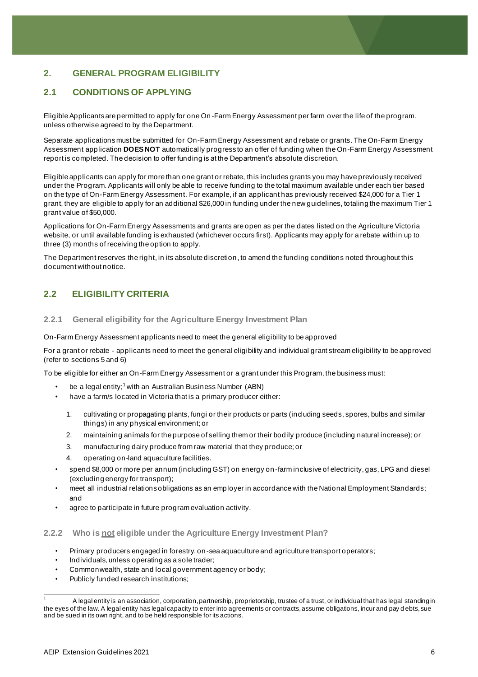# <span id="page-5-0"></span>**2. GENERAL PROGRAM ELIGIBILITY**

# **2.1 CONDITIONS OF APPLYING**

Eligible Applicants are permitted to apply for one On -Farm Energy Assessment per farm over the life of the program, unless otherwise agreed to by the Department.

Separate applications must be submitted for On-Farm Energy Assessment and rebate or grants. The On-Farm Energy Assessment application **DOES NOT** automatically progress to an offer of funding when the On-Farm Energy Assessment report is completed. The decision to offer funding is at the Department's absolute discretion.

Eligible applicants can apply for more than one grant or rebate, this includes grants you may have previously received under the Program. Applicants will only be able to receive funding to the total maximum available under each tier based on the type of On-Farm Energy Assessment. For example, if an applicant has previously received \$24,000 for a Tier 1 grant, they are eligible to apply for an additional \$26,000 in funding under the new guidelines, totaling the maximum Tier 1 grant value of \$50,000.

Applications for On-Farm Energy Assessments and grants are open as per the dates listed on the Agriculture Victoria website, or until available funding is exhausted (whichever occurs first). Applicants may apply for a rebate within up to three (3) months of receiving the option to apply.

The Department reserves the right, in its absolute discretion, to amend the funding conditions noted throughout this document without notice.

## **2.2 ELIGIBILITY CRITERIA**

#### **2.2.1 General eligibility for the Agriculture Energy Investment Plan**

On-Farm Energy Assessment applicants need to meet the general eligibility to be approved

For a grant or rebate - applicants need to meet the general eligibility and individual grant stream eligibility to be approved (refer to sections 5 and 6)

To be eligible for either an On-Farm Energy Assessment or a grant under this Program, the business must:

- be a legal entity;<sup>1</sup> with an Australian Business Number (ABN)
- have a farm/s located in Victoria that is a primary producer either:
	- 1. cultivating or propagating plants, fungi or their products or parts (including seeds, spores, bulbs and similar things) in any physical environment; or
	- 2. maintaining animals for the purpose of selling them or their bodily produce (including natural increase); or
	- 3. manufacturing dairy produce from raw material that they produce; or
	- 4. operating on-land aquaculture facilities.
- spend \$8,000 or more per annum (including GST) on energy on -farm inclusive of electricity, gas, LPG and diesel (excluding energy for transport);
- meet all industrial relations obligations as an employer in accordance with the National Employment Standards; and
- agree to participate in future program evaluation activity.

#### **2.2.2 Who is not eligible under the Agriculture Energy Investment Plan?**

- Primary producers engaged in forestry, on-sea aquaculture and agriculture transport operators;
- Individuals, unless operating as a sole trader;
- Commonwealth, state and local government agency or body;
- Publicly funded research institutions;

<sup>1</sup> A legal entity is an association, corporation, partnership, proprietorship, trustee of a trust, or individual that has legal standing in the eyes of the law. A legal entity has legal capacity to enter into agreements or contracts, assume obligations, incur and pay d ebts, sue and be sued in its own right, and to be held responsible for its actions.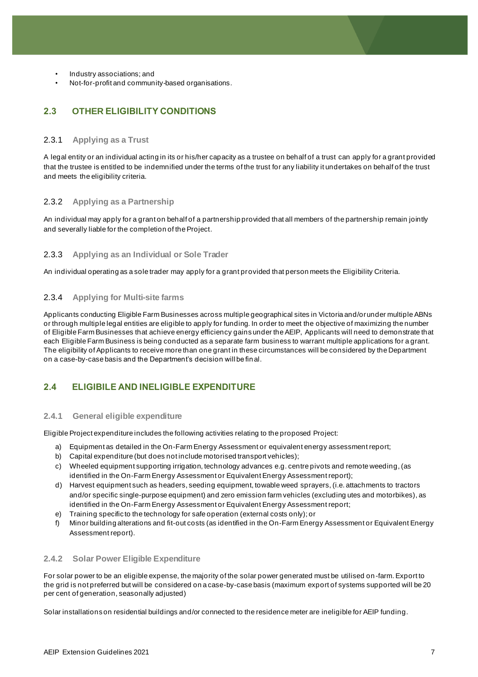- Industry associations; and
- Not-for-profit and community-based organisations.

# **2.3 OTHER ELIGIBILITY CONDITIONS**

#### 2.3.1 **Applying as a Trust**

A legal entity or an individual acting in its or his/her capacity as a trustee on behalf of a trust can apply for a grant provided that the trustee is entitled to be indemnified under the terms of the trust for any liability it undertakes on behalf of the trust and meets the eligibility criteria.

#### 2.3.2 **Applying as a Partnership**

An individual may apply for a grant on behalf of a partnership provided that all members of the partnership remain jointly and severally liable for the completion of the Project.

#### 2.3.3 **Applying as an Individual or Sole Trader**

An individual operating as a sole trader may apply for a grant provided that person meets the Eligibility Criteria.

#### 2.3.4 **Applying for Multi-site farms**

Applicants conducting Eligible Farm Businesses across multiple geographical sites in Victoria and/or under multiple ABNs or through multiple legal entities are eligible to apply for funding. In order to meet the objective of maximizing the number of Eligible Farm Businesses that achieve energy efficiency gains under the AEIP, Applicants will need to demonstrate that each Eligible Farm Business is being conducted as a separate farm business to warrant multiple applications for a grant. The eligibility of Applicants to receive more than one grant in these circumstances will be considered by the Department on a case-by-case basis and the Department's decision will be final.

# **2.4 ELIGIBILE AND INELIGIBLE EXPENDITURE**

#### **2.4.1 General eligible expenditure**

Eligible Project expenditure includes the following activities relating to the proposed Project:

- a) Equipment as detailed in the On-Farm Energy Assessment or equivalent energy assessment report;
- b) Capital expenditure (but does not include motorised transport vehicles);
- c) Wheeled equipment supporting irrigation, technology advances e.g. centre pivots and remote weeding, (as identified in the On-Farm Energy Assessment or Equivalent Energy Assessment report);
- d) Harvest equipment such as headers, seeding equipment, towable weed sprayers, (i.e. attachments to tractors and/or specific single-purpose equipment) and zero emission farm vehicles (excluding utes and motorbikes), as identified in the On-Farm Energy Assessment or Equivalent Energy Assessment report;
- e) Training specific to the technology for safe operation (external costs only); or
- f) Minor building alterations and fit-out costs (as identified in the On-Farm Energy Assessment or Equivalent Energy Assessment report).

#### **2.4.2 Solar Power Eligible Expenditure**

For solar power to be an eligible expense, the majority of the solar power generated must be utilised on -farm. Export to the grid is not preferred but will be considered on a case-by-case basis (maximum export of systems supported will be 20 per cent of generation, seasonally adjusted)

Solar installations on residential buildings and/or connected to the residence meter are ineligible for AEIP funding.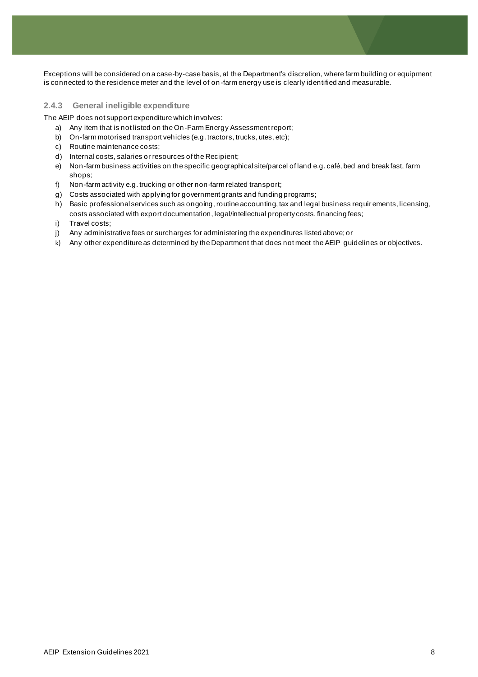Exceptions will be considered on a case-by-case basis, at the Department's discretion, where farm building or equipment is connected to the residence meter and the level of on-farm energy use is clearly identified and measurable.

#### **2.4.3 General ineligible expenditure**

The AEIP does not support expenditure which involves:

- a) Any item that is not listed on the On-Farm Energy Assessment report;
- b) On-farm motorised transport vehicles (e.g. tractors, trucks, utes, etc);
- c) Routine maintenance costs;
- d) Internal costs, salaries or resources of the Recipient;
- e) Non-farm business activities on the specific geographical site/parcel of land e.g. café, bed and break fast, farm shops;
- f) Non-farm activity e.g. trucking or other non-farm related transport;
- g) Costs associated with applying for government grants and funding programs;
- h) Basic professional services such as ongoing, routine accounting, tax and legal business requir ements, licensing, costs associated with export documentation, legal/intellectual property costs, financing fees;
- i) Travel costs;
- j) Any administrative fees or surcharges for administering the expenditures listed above; or
- <span id="page-7-0"></span>k) Any other expenditure as determined by the Department that does not meet the AEIP guidelines or objectives.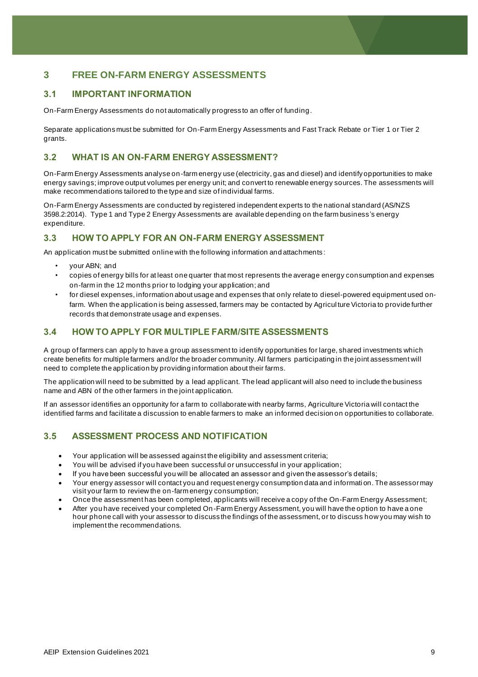# **3 FREE ON-FARM ENERGY ASSESSMENTS**

#### **3.1 IMPORTANT INFORMATION**

On-Farm Energy Assessments do not automatically progress to an offer of funding.

Separate applications must be submitted for On-Farm Energy Assessments and Fast Track Rebate or Tier 1 or Tier 2 grants.

#### **3.2 WHAT IS AN ON-FARM ENERGY ASSESSMENT?**

On-Farm Energy Assessments analyse on-farm energy use (electricity, gas and diesel) and identify opportunities to make energy savings; improve output volumes per energy unit; and convert to renewable energy sources. The assessments will make recommendations tailored to the type and size of individual farms.

On-Farm Energy Assessments are conducted by registered independent experts to the national standard (AS/NZS 3598.2:2014). Type 1 and Type 2 Energy Assessments are available depending on the farm business's energy expenditure.

#### **3.3 HOW TO APPLY FOR AN ON-FARM ENERGY ASSESSMENT**

An application must be submitted online with the following information and attachments :

- your ABN; and
- copies of energy bills for at least one quarter that most represents the average energy consumption and expenses on-farm in the 12 months prior to lodging your application; and
- for diesel expenses, information about usage and expenses that only relate to diesel-powered equipment used onfarm. When the application is being assessed, farmers may be contacted by Agricul ture Victoria to provide further records that demonstrate usage and expenses.

#### **3.4 HOW TO APPLY FOR MULTIPLE FARM/SITE ASSESSMENTS**

A group of farmers can apply to have a group assessment to identify opportunities for large, shared investments which create benefits for multiple farmers and/or the broader community. All farmers participating in the joint assessment will need to complete the application by providing information about their farms.

The application will need to be submitted by a lead applicant. The lead applicant will also need to include the business name and ABN of the other farmers in the joint application.

If an assessor identifies an opportunity for a farm to collaborate with nearby farms, Agriculture Victoria will contact the identified farms and facilitate a discussion to enable farmers to make an informed decision on opportunities to collaborate.

#### **3.5 ASSESSMENT PROCESS AND NOTIFICATION**

- Your application will be assessed against the eligibility and assessment criteria;
- You will be advised if you have been successful or unsuccessful in your application;
- If you have been successful you will be allocated an assessor and given the assessor's details;
- Your energy assessor will contact you and request energy consumption data and informati on. The assessor may visit your farm to review the on-farm energy consumption;
- Once the assessment has been completed, applicants will receive a copy of the On-Farm Energy Assessment;
- After you have received your completed On-Farm Energy Assessment, you will have the option to have a one hour phone call with your assessor to discuss the findings of the assessment, or to discuss how you may wish to implement the recommendations.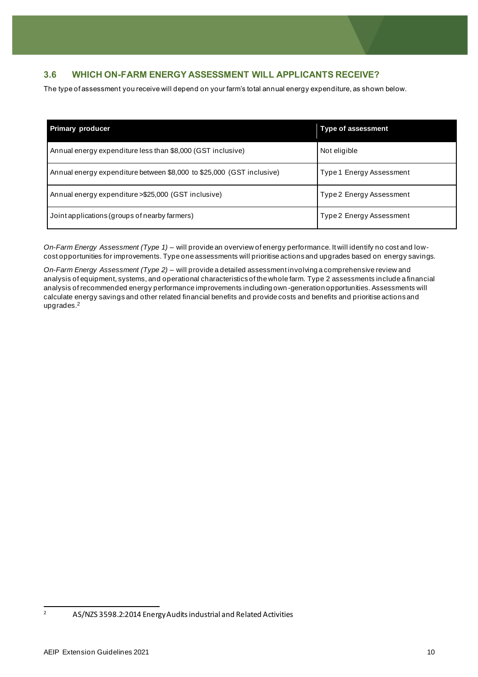# **3.6 WHICH ON-FARM ENERGY ASSESSMENT WILL APPLICANTS RECEIVE?**

The type of assessment you receive will depend on your farm's total annual energy expenditure, as shown below.

| <b>Primary producer</b>                                               | <b>Type of assessment</b> |
|-----------------------------------------------------------------------|---------------------------|
| Annual energy expenditure less than \$8,000 (GST inclusive)           | Not eligible              |
| Annual energy expenditure between \$8,000 to \$25,000 (GST inclusive) | Type 1 Energy Assessment  |
| Annual energy expenditure > \$25,000 (GST inclusive)                  | Type 2 Energy Assessment  |
| Joint applications (groups of nearby farmers)                         | Type 2 Energy Assessment  |

*On-Farm Energy Assessment (Type 1)* – will provide an overview of energy performance. It will identify no cost and lowcost opportunities for improvements. Type one assessments will prioritise actions and upgrades based on energy savings.

*On-Farm Energy Assessment (Type 2)* – will provide a detailed assessment involving a comprehensive review and analysis of equipment, systems, and operational characteristics of the whole farm. Type 2 assessments include a financial analysis of recommended energy performance improvements including own -generation opportunities. Assessments will calculate energy savings and other related financial benefits and provide costs and benefits and prioritise actions and upgrades.<sup>2</sup>

<sup>2</sup> AS/NZS 3598.2:2014 Energy Audits industrial and Related Activities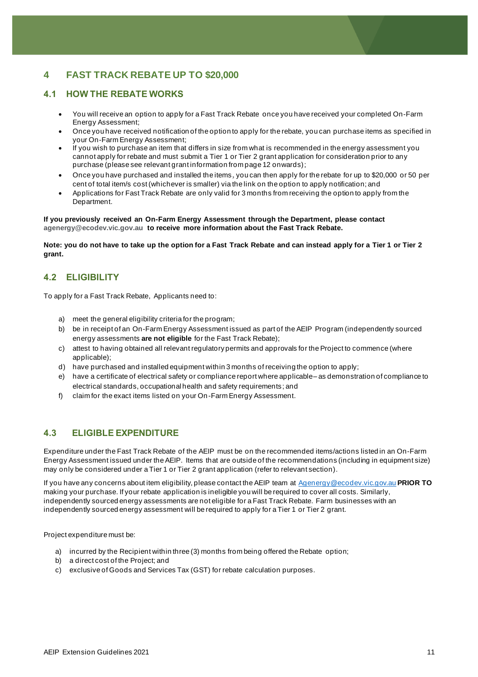# <span id="page-10-0"></span>**4 FAST TRACK REBATE UP TO \$20,000**

## **4.1 HOW THE REBATE WORKS**

- You will receive an option to apply for a Fast Track Rebate once you have received your completed On-Farm Energy Assessment;
- Once you have received notification of the option to apply for the rebate, you can purchase items as specified in your On-Farm Energy Assessment;
- If you wish to purchase an item that differs in size from what is recommended in the energy assessment you cannot apply for rebate and must submit a Tier 1 or Tier 2 grant application for consideration prior to any purchase (please see relevant grant information from page 12 onwards);
- Once you have purchased and installed the items, you can then apply for the rebate for up to \$20,000 or 50 per cent of total item/s cost (whichever is smaller) via the link on the option to apply notification; and
- Applications for Fast Track Rebate are only valid for 3 months from receiving the option to apply from the Department.

**If you previously received an On-Farm Energy Assessment through the Department, please contact [agenergy@ecodev.vic.gov.au](mailto:Agenergy@ecodev.vic.gov.au) to receive more information about the Fast Track Rebate.** 

**Note: you do not have to take up the option for a Fast Track Rebate and can instead apply for a Tier 1 or Tier 2 grant.** 

# **4.2 ELIGIBILITY**

To apply for a Fast Track Rebate, Applicants need to:

- a) meet the general eligibility criteria for the program;
- b) be in receipt of an On-Farm Energy Assessment issued as part of the AEIP Program (independently sourced energy assessments **are not eligible** for the Fast Track Rebate);
- c) attest to having obtained all relevant regulatory permits and approvals for the Project to commence (where applicable);
- d) have purchased and installed equipment within 3 months of receiving the option to apply;
- e) have a certificate of electrical safety or compliance report where applicable– as demonstration of compliance to electrical standards, occupational health and safety requirements; and
- f) claim for the exact items listed on your On-Farm Energy Assessment.

#### **4.3 ELIGIBLE EXPENDITURE**

Expenditure under the Fast Track Rebate of the AEIP must be on the recommended items/actions listed in an On-Farm Energy Assessment issued under the AEIP. Items that are outside of the recommendations (including in equipment size) may only be considered under a Tier 1 or Tier 2 grant application (refer to relevant section).

If you have any concerns about item eligibility, please contact the AEIP team at [Agenergy@ecodev.vic.gov.au](mailto:Agenergy@ecodev.vic.gov.au) **PRIOR TO** making your purchase. If your rebate application is ineligible you will be required to cover all costs. Similarly, independently sourced energy assessments are not eligible for a Fast Track Rebate. Farm businesses with an independently sourced energy assessment will be required to apply for a Tier 1 or Tier 2 grant.

Project expenditure must be:

- a) incurred by the Recipient within three (3) months from being offered the Rebate option;
- b) a direct cost of the Project; and
- c) exclusive of Goods and Services Tax (GST) for rebate calculation purposes.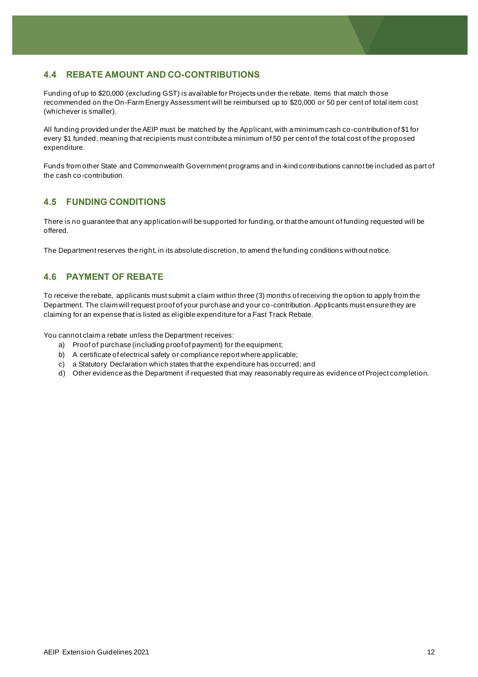## **4.4 REBATE AMOUNT AND CO-CONTRIBUTIONS**

Funding of up to \$20,000 (excluding GST) is available for Projects under the rebate. Items that match those recommended on the On-Farm Energy Assessment will be reimbursed up to \$20,000 or 50 per cent of total item cost (whichever is smaller).

All funding provided under the AEIP must be matched by the Applicant, with a minimum cash co-contribution of \$1 for every \$1 funded, meaning that recipients must contribute a minimum of 50 per cent of the total cost of the proposed expenditure.

Funds from other State and Commonwealth Government programs and in -kind contributions cannot be included as part of the cash co-contribution.

#### **4.5 FUNDING CONDITIONS**

There is no guarantee that any application will be supported for funding, or that the amount of funding requested will be offered.

The Department reserves the right, in its absolute discretion, to amend the funding conditions without notice.

#### **4.6 PAYMENT OF REBATE**

To receive the rebate, applicants must submit a claim within three (3) months of receiving the option to apply from the Department. The claim will request proof of your purchase and your co -contribution. Applicants must ensure they are claiming for an expense that is listed as eligible expenditure for a Fast Track Rebate.

You cannot claim a rebate unless the Department receives:

- a) Proof of purchase (including proof of payment) for the equipment;
- b) A certificate of electrical safety or compliance report where applicable;
- c) a Statutory Declaration which states that the expenditure has occurred; and
- d) Other evidence as the Department if requested that may reasonably require as evidence of Project completion.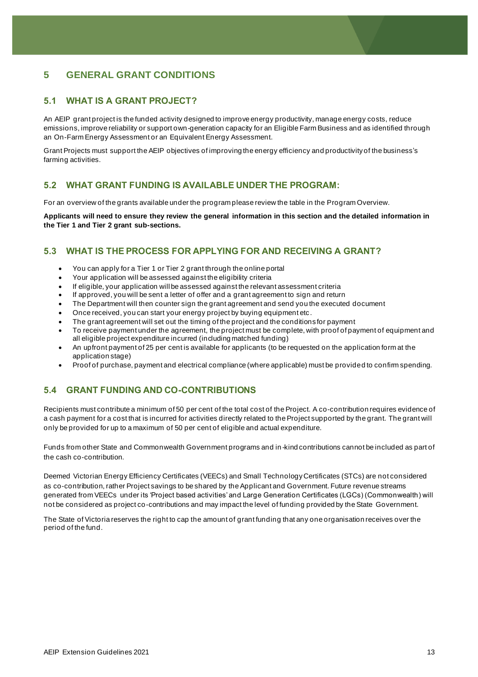# <span id="page-12-0"></span>**5 GENERAL GRANT CONDITIONS**

## **5.1 WHAT IS A GRANT PROJECT?**

An AEIP grant project is the funded activity designed to improve energy productivity, manage energy costs, reduce emissions, improve reliability or support own-generation capacity for an Eligible Farm Business and as identified through an On-Farm Energy Assessment or an Equivalent Energy Assessment.

Grant Projects must support the AEIP objectives of improving the energy efficiency and productivity of the business's farming activities.

## **5.2 WHAT GRANT FUNDING IS AVAILABLE UNDER THE PROGRAM:**

For an overview of the grants available under the program please review the table in the Program Overview.

**Applicants will need to ensure they review the general information in this section and the detailed information in the Tier 1 and Tier 2 grant sub-sections.**

## **5.3 WHAT IS THE PROCESS FOR APPLYING FOR AND RECEIVING A GRANT?**

- You can apply for a Tier 1 or Tier 2 grant through the online portal
- Your application will be assessed against the eligibility criteria
- If eligible, your application will be assessed against the relevant assessment criteria
- If approved, you will be sent a letter of offer and a grant agreement to sign and return
- The Department will then counter sign the grant agreement and send you the executed document
- Once received, you can start your energy project by buying equipment etc.
- The grant agreement will set out the timing of the project and the conditions for payment
- To receive payment under the agreement, the project must be complete, with proof of payment of equipment and all eligible project expenditure incurred (including matched funding)
- An upfront payment of 25 per cent is available for applicants (to be requested on the application form at the application stage)
- Proof of purchase, payment and electrical compliance (where applicable) must be provided to confirm spending.

# **5.4 GRANT FUNDING AND CO-CONTRIBUTIONS**

Recipients must contribute a minimum of 50 per cent of the total cost of the Project. A co-contribution requires evidence of a cash payment for a cost that is incurred for activities directly related to the Project supported by the grant. The grant will only be provided for up to a maximum of 50 per cent of eligible and actual expenditure.

Funds from other State and Commonwealth Government programs and in -kind contributions cannot be included as part of the cash co-contribution.

Deemed Victorian Energy Efficiency Certificates (VEECs) and Small Technology Certificates (STCs) are not considered as co-contribution, rather Project savings to be shared by the Applicant and Government. Future revenue streams generated from VEECs under its 'Project based activities' and Large Generation Certificates (LGCs) (Commonwealth) will not be considered as project co-contributions and may impact the level of funding provided by the State Government.

The State of Victoria reserves the right to cap the amount of grant funding that any one organisation receives over the period of the fund.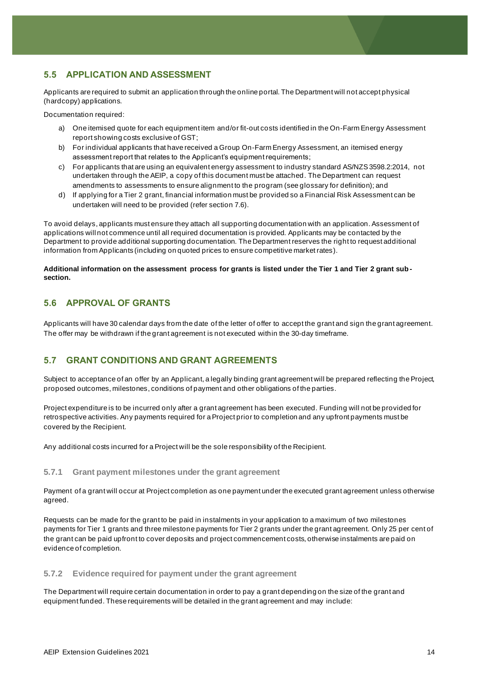## **5.5 APPLICATION AND ASSESSMENT**

Applicants are required to submit an application through the online portal. The Department will not accept physical (hardcopy) applications.

Documentation required:

- a) One itemised quote for each equipment item and/or fit-out costs identified in the On-Farm Energy Assessment report showing costs exclusive of GST;
- b) For individual applicants that have received a Group On-Farm Energy Assessment, an itemised energy assessment report that relates to the Applicant's equipment requirements;
- c) For applicants that are using an equivalent energy assessment to industry standard AS/NZS 3598.2:2014, not undertaken through the AEIP, a copy of this document must be attached. The Department can request amendments to assessments to ensure alignment to the program (see glossary for definition); and
- d) If applying for a Tier 2 grant, financial information must be provided so a Financial Risk Assessment can be undertaken will need to be provided (refer section 7.6).

To avoid delays, applicants must ensure they attach all supporting documentation with an application. Assessment of applications will not commence until all required documentation is provided. Applicants may be contacted by the Department to provide additional supporting documentation. The Department reserves the right to request additional information from Applicants (including on quoted prices to ensure competitive market rates).

#### **Additional information on the assessment process for grants is listed under the Tier 1 and Tier 2 grant subsection.**

## **5.6 APPROVAL OF GRANTS**

Applicants will have 30 calendar days from the date of the letter of offer to accept the grant and sign the grant agreement. The offer may be withdrawn if the grant agreement is not executed within the 30-day timeframe.

## **5.7 GRANT CONDITIONS AND GRANT AGREEMENTS**

Subject to acceptance of an offer by an Applicant, a legally binding grant agreement will be prepared reflecting the Project, proposed outcomes, milestones, conditions of payment and other obligations of the parties.

Project expenditure is to be incurred only after a grant agreement has been executed. Funding will not be provided for retrospective activities. Any payments required for a Project prior to completion and any upfront payments must be covered by the Recipient.

Any additional costs incurred for a Project will be the sole responsibility of the Recipient.

#### **5.7.1 Grant payment milestones under the grant agreement**

Payment of a grant will occur at Project completion as one payment under the executed grant agreement unless otherwise agreed.

Requests can be made for the grant to be paid in instalments in your application to a maximum of two milestones payments for Tier 1 grants and three milestone payments for Tier 2 grants under the grant agreement. Only 25 per cent of the grant can be paid upfront to cover deposits and project commencement costs, otherwise instalments are paid on evidence of completion.

#### **5.7.2 Evidence required for payment under the grant agreement**

The Department will require certain documentation in order to pay a grant depending on the size of the grant and equipment funded. These requirements will be detailed in the grant agreement and may include: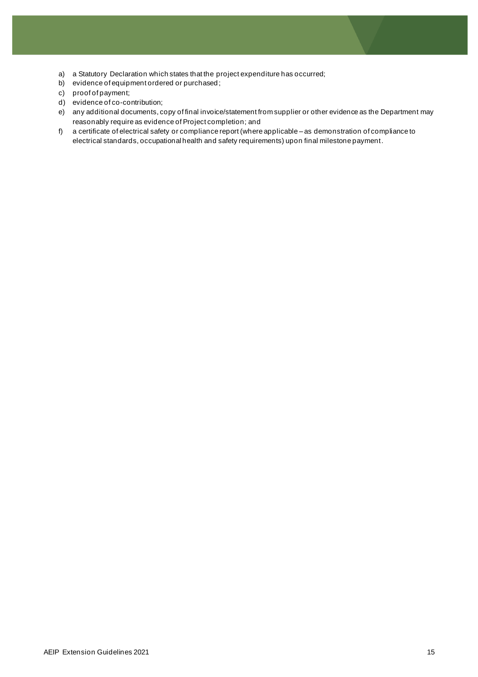- a) a Statutory Declaration which states that the project expenditure has occurred;
- b) evidence of equipment ordered or purchased;
- c) proof of payment;
- d) evidence of co-contribution;
- e) any additional documents, copy of final invoice/statement from supplier or other evidence as the Department may reasonably require as evidence of Project completion; and
- f) a certificate of electrical safety or compliance report (where applicable as demonstration of compliance to electrical standards, occupational health and safety requirements) upon final milestone payment.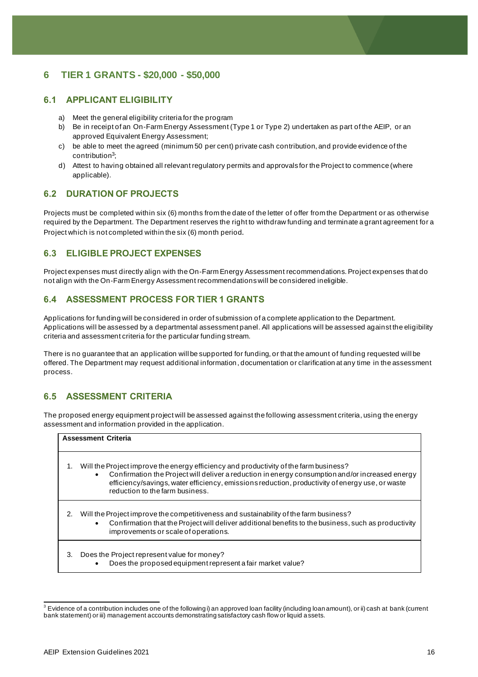# <span id="page-15-0"></span>**6 TIER 1 GRANTS - \$20,000 - \$50,000**

#### **6.1 APPLICANT ELIGIBILITY**

- a) Meet the general eligibility criteria for the program
- b) Be in receipt of an On-Farm Energy Assessment (Type 1 or Type 2) undertaken as part of the AEIP, or an approved Equivalent Energy Assessment;
- c) be able to meet the agreed (minimum 50 per cent) private cash contribution, and provide evidence of the contribution<sup>3</sup>;
- d) Attest to having obtained all relevant regulatory permits and approvals for the Project to commence (where applicable).

#### **6.2 DURATION OF PROJECTS**

Projects must be completed within six (6) months from the date of the letter of offer from the Department or as otherwise required by the Department. The Department reserves the right to withdraw funding and terminate a grant agreement for a Project which is not completed within the six (6) month period.

#### **6.3 ELIGIBLE PROJECT EXPENSES**

Project expenses must directly align with the On-Farm Energy Assessment recommendations. Project expenses that do not align with the On-Farm Energy Assessment recommendations will be considered ineligible.

## **6.4 ASSESSMENT PROCESS FOR TIER 1 GRANTS**

Applications for funding will be considered in order of submission of a complete application to the Department. Applications will be assessed by a departmental assessment panel. All applications will be assessed against the eligibility criteria and assessment criteria for the particular funding stream.

There is no guarantee that an application will be supported for funding, or that the amount of funding requested will be offered. The Department may request additional information, documentation or clarification at any time in the assessment process.

#### **6.5 ASSESSMENT CRITERIA**

The proposed energy equipment project will be assessed against the following assessment criteria, using the energy assessment and information provided in the application.

| <b>Assessment Criteria</b> |                                                                                                                                                                                                                                                                                                                                             |  |
|----------------------------|---------------------------------------------------------------------------------------------------------------------------------------------------------------------------------------------------------------------------------------------------------------------------------------------------------------------------------------------|--|
| 1.                         | Will the Project improve the energy efficiency and productivity of the farm business?<br>Confirmation the Project will deliver a reduction in energy consumption and/or increased energy<br>$\bullet$<br>efficiency/savings, water efficiency, emissions reduction, productivity of energy use, or waste<br>reduction to the farm business. |  |
| 2.                         | Will the Project improve the competitiveness and sustainability of the farm business?<br>Confirmation that the Project will deliver additional benefits to the business, such as productivity<br>$\bullet$<br>improvements or scale of operations.                                                                                          |  |
| 3.                         | Does the Project represent value for money?<br>Does the proposed equipment represent a fair market value?<br>$\bullet$                                                                                                                                                                                                                      |  |

 $3$  Evidence of a contribution includes one of the following i) an approved loan facility (including loan amount), or ii) cash at bank (current bank statement) or iii) management accounts demonstrating satisfactory cash flow or liquid a ssets.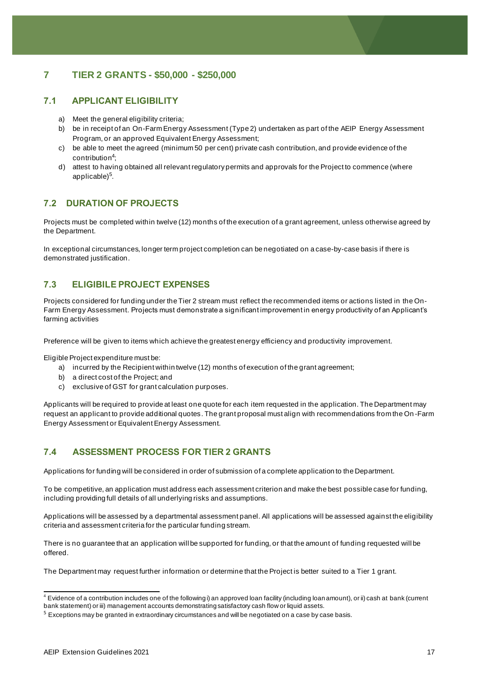# <span id="page-16-0"></span>**7 TIER 2 GRANTS - \$50,000 - \$250,000**

#### **7.1 APPLICANT ELIGIBILITY**

- a) Meet the general eligibility criteria;
- b) be in receipt of an On-Farm Energy Assessment (Type 2) undertaken as part of the AEIP Energy Assessment Program, or an approved Equivalent Energy Assessment;
- c) be able to meet the agreed (minimum 50 per cent) private cash contribution, and provide evidence of the contribution<sup>4</sup> ;
- d) attest to having obtained all relevant regulatory permits and approvals for the Project to commence (where applicable)<sup>5</sup>.

## **7.2 DURATION OF PROJECTS**

Projects must be completed within twelve (12) months of the execution of a grant agreement, unless otherwise agreed by the Department.

In exceptional circumstances, longer term project completion can be negotiated on a case-by-case basis if there is demonstrated justification.

#### **7.3 ELIGIBILE PROJECT EXPENSES**

Projects considered for funding under the Tier 2 stream must reflect the recommended items or actions listed in the On-Farm Energy Assessment. Projects must demonstrate a significant improvement in energy productivity of an Applicant's farming activities

Preference will be given to items which achieve the greatest energy efficiency and productivity improvement.

Eligible Project expenditure must be:

- a) incurred by the Recipient within twelve (12) months of execution of the grant agreement;
- b) a direct cost of the Project; and
- c) exclusive of GST for grant calculation purposes.

Applicants will be required to provide at least one quote for each item requested in the application. The Department may request an applicant to provide additional quotes. The grant proposal must align with recommendations from the On -Farm Energy Assessment or Equivalent Energy Assessment.

# **7.4 ASSESSMENT PROCESS FOR TIER 2 GRANTS**

Applications for funding will be considered in order of submission of a complete application to the Department.

To be competitive, an application must address each assessment criterion and make the best possible case for funding, including providing full details of all underlying risks and assumptions.

Applications will be assessed by a departmental assessment panel. All applications will be assessed against the eligibility criteria and assessment criteria for the particular funding stream.

There is no guarantee that an application will be supported for funding, or that the amount of funding requested will be offered.

The Department may request further information or determine that the Project is better suited to a Tier 1 grant.

<sup>4</sup> Evidence of a contribution includes one of the following i) an approved loan facility (including loan amount), or ii) cash at bank (current bank statement) or iii) management accounts demonstrating satisfactory cash flow or liquid assets.

<sup>5</sup> Exceptions may be granted in extraordinary circumstances and will be negotiated on a case by case basis.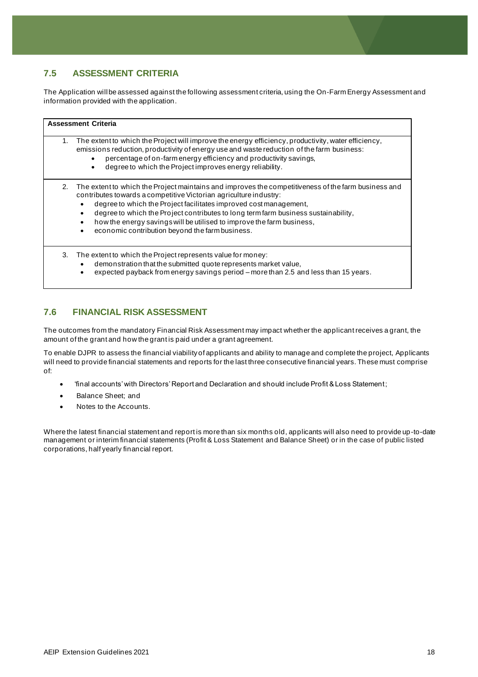# **7.5 ASSESSMENT CRITERIA**

The Application will be assessed against the following assessment criteria, using the On-Farm Energy Assessment and information provided with the application.

| <b>Assessment Criteria</b> |                                                                                                                                                                                                                                                                                                                                                                                                                                                                                           |  |
|----------------------------|-------------------------------------------------------------------------------------------------------------------------------------------------------------------------------------------------------------------------------------------------------------------------------------------------------------------------------------------------------------------------------------------------------------------------------------------------------------------------------------------|--|
| 1.                         | The extent to which the Project will improve the energy efficiency, productivity, water efficiency,<br>emissions reduction, productivity of energy use and waste reduction of the farm business:<br>percentage of on-farm energy efficiency and productivity savings,<br>degree to which the Project improves energy reliability.                                                                                                                                                         |  |
| 2.                         | The extent to which the Project maintains and improves the competitiveness of the farm business and<br>contributes towards a competitive Victorian agriculture industry:<br>degree to which the Project facilitates improved cost management,<br>degree to which the Project contributes to long term farm business sustainability,<br>how the energy savings will be utilised to improve the farm business,<br>$\bullet$<br>economic contribution beyond the farm business.<br>$\bullet$ |  |
| 3.                         | The extent to which the Project represents value for money:<br>demonstration that the submitted quote represents market value,<br>$\bullet$<br>expected payback from energy savings period - more than 2.5 and less than 15 years.                                                                                                                                                                                                                                                        |  |

## **7.6 FINANCIAL RISK ASSESSMENT**

The outcomes from the mandatory Financial Risk Assessment may impact whether the applicant receives a grant, the amount of the grant and how the grant is paid under a grant agreement.

To enable DJPR to assess the financial viability of applicants and ability to manage and complete the project, Applicants will need to provide financial statements and reports for the last three consecutive financial years. These must comprise of:

- 'final accounts' with Directors' Report and Declaration and should include Profit & Loss Statement;
- Balance Sheet; and
- Notes to the Accounts.

Where the latest financial statement and report is more than six months old, applicants will also need to provide up-to-date management or interim financial statements (Profit & Loss Statement and Balance Sheet) or in the case of public listed corporations, half yearly financial report.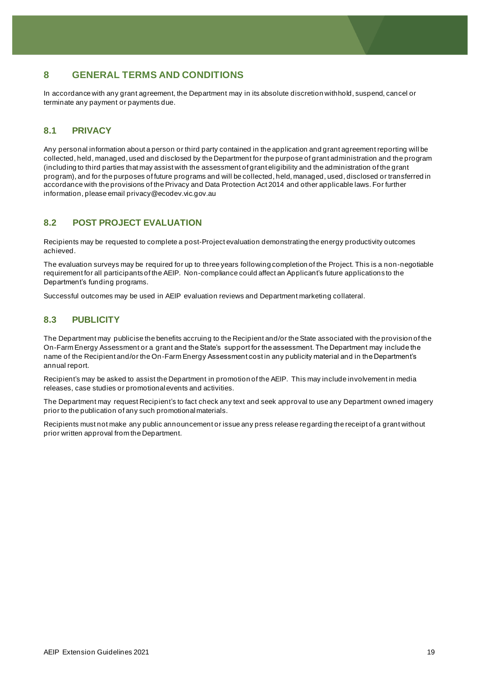# <span id="page-18-0"></span>**8 GENERAL TERMS AND CONDITIONS**

In accordance with any grant agreement, the Department may in its absolute discretion withhold, suspend, cancel or terminate any payment or payments due.

#### **8.1 PRIVACY**

Any personal information about a person or third party contained in the application and grant agreement reporting will be collected, held, managed, used and disclosed by the Department for the purpose of grant administration and the program (including to third parties that may assist with the assessment of grant eligibility and the administration of the grant program), and for the purposes of future programs and will be collected, held, managed, used, disclosed or transferred in accordance with the provisions of the Privacy and Data Protection Act 2014 and other applicable laws. For further information, please emai[l privacy@ecodev.vic.gov.au](mailto:privacy@ecodev.vic.gov.au)

#### **8.2 POST PROJECT EVALUATION**

Recipients may be requested to complete a post-Project evaluation demonstrating the energy productivity outcomes achieved.

The evaluation surveys may be required for up to three years following completion of the Project. This is a non-negotiable requirement for all participants of the AEIP. Non-compliance could affect an Applicant's future applications to the Department's funding programs.

Successful outcomes may be used in AEIP evaluation reviews and Department marketing collateral.

#### **8.3 PUBLICITY**

The Department may publicise the benefits accruing to the Recipient and/or the State associated with the provision of the On-Farm Energy Assessment or a grant and the State's support for the assessment. The Department may include the name of the Recipient and/or the On-Farm Energy Assessment cost in any publicity material and in the Department's annual report.

Recipient's may be asked to assist the Department in promotion of the AEIP. This may include involvement in media releases, case studies or promotional events and activities.

The Department may request Recipient's to fact check any text and seek approval to use any Department owned imagery prior to the publication of any such promotional materials.

Recipients must not make any public announcement or issue any press release regarding the receipt of a grant without prior written approval from the Department.